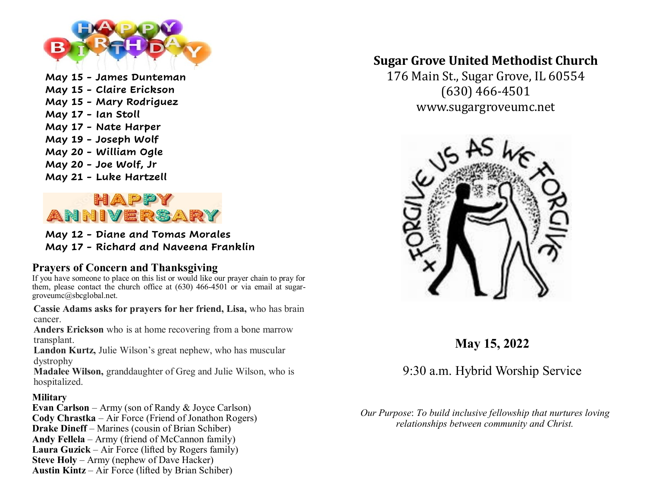

**May 15 - James Dunteman May 15 - Claire Erickson May 15 - Mary Rodriguez May 17 - Ian Stoll May 17 - Nate Harper May 19 - Joseph Wolf May 20 - William Ogle May 20 - Joe Wolf, Jr May 21 - Luke Hartzell**



**May 12 - Diane and Tomas Morales May 17 - Richard and Naveena Franklin**

## **Prayers of Concern and Thanksgiving**

If you have someone to place on this list or would like our prayer chain to pray for them, please contact the church office at (630) 466-4501 or via email at sugargroveumc@sbcglobal.net.

**Cassie Adams asks for prayers for her friend, Lisa,** who has brain cancer.

**Anders Erickson** who is at home recovering from a bone marrow transplant.

**Landon Kurtz,** Julie Wilson's great nephew, who has muscular dystrophy

**Madalee Wilson,** granddaughter of Greg and Julie Wilson, who is hospitalized.

## **Military**

**Evan Carlson** – Army (son of Randy & Joyce Carlson) **Cody Chrastka** – Air Force (Friend of Jonathon Rogers) **Drake Dineff** – Marines (cousin of Brian Schiber) **Andy Fellela** – Army (friend of McCannon family) **Laura Guzick** – Air Force (lifted by Rogers family) **Steve Holy** – Army (nephew of Dave Hacker) **Austin Kintz** – Air Force (lifted by Brian Schiber)

# **Sugar Grove United Methodist Church**

176 Main St., Sugar Grove, IL 60554 (630) 466-4501 www.sugargroveumc.net



**May 15, 2022**

9:30 a.m. Hybrid Worship Service

*Our Purpose*: *To build inclusive fellowship that nurtures loving relationships between community and Christ.*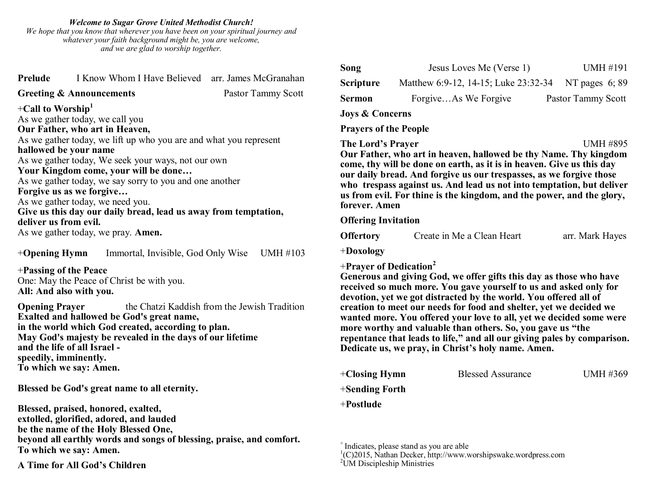#### *Welcome to Sugar Grove United Methodist Church!*

*We hope that you know that wherever you have been on your spiritual journey and whatever your faith background might be, you are welcome, and we are glad to worship together.*

| Prelude                                                           | I Know Whom I Have Believed arr. James McGranahan |                    |  |  |
|-------------------------------------------------------------------|---------------------------------------------------|--------------------|--|--|
|                                                                   | <b>Greeting &amp; Announcements</b>               | Pastor Tammy Scott |  |  |
| +Call to Worship <sup>1</sup>                                     |                                                   |                    |  |  |
|                                                                   | As we gather today, we call you                   |                    |  |  |
| Our Father, who art in Heaven,                                    |                                                   |                    |  |  |
| As we gather today, we lift up who you are and what you represent |                                                   |                    |  |  |
| hallowed be your name                                             |                                                   |                    |  |  |
| As we gather today, We seek your ways, not our own                |                                                   |                    |  |  |
| Your Kingdom come, your will be done                              |                                                   |                    |  |  |
| As we gather today, we say sorry to you and one another           |                                                   |                    |  |  |
|                                                                   | Forgive us as we forgive                          |                    |  |  |
|                                                                   | As we gather today, we need you.                  |                    |  |  |
| Give us this day our daily bread, lead us away from temptation,   |                                                   |                    |  |  |
| deliver us from evil.                                             |                                                   |                    |  |  |
| As we gather today, we pray. Amen.                                |                                                   |                    |  |  |
|                                                                   |                                                   |                    |  |  |
| $+$ Opening Hymn                                                  | Immortal, Invisible, God Only Wise                | UMH #103           |  |  |
|                                                                   |                                                   |                    |  |  |

+**Passing of the Peace** One: May the Peace of Christ be with you. **All: And also with you.**

**Opening Prayer** the Chatzi Kaddish from the Jewish Tradition **Exalted and hallowed be God's great name, in the world which God created, according to plan. May God's majesty be revealed in the days of our lifetime and the life of all Israel speedily, imminently. To which we say: Amen.**

**Blessed be God's great name to all eternity.**

**Blessed, praised, honored, exalted, extolled, glorified, adored, and lauded be the name of the Holy Blessed One, beyond all earthly words and songs of blessing, praise, and comfort. To which we say: Amen.**

**A Time for All God's Children**

| Song                       | Jesus Loves Me (Verse 1)             | UMH #191           |
|----------------------------|--------------------------------------|--------------------|
| <b>Scripture</b>           | Matthew 6:9-12, 14-15; Luke 23:32-34 | NT pages $6; 89$   |
| <b>Sermon</b>              | ForgiveAs We Forgive                 | Pastor Tammy Scott |
| <b>Joys &amp; Concerns</b> |                                      |                    |

**Prayers of the People**

## **The Lord's Prayer** UMH #895 **Our Father, who art in heaven, hallowed be thy Name. Thy kingdom come, thy will be done on earth, as it is in heaven. Give us this day our daily bread. And forgive us our trespasses, as we forgive those who trespass against us. And lead us not into temptation, but deliver us from evil. For thine is the kingdom, and the power, and the glory, forever. Amen**

### **Offering Invitation**

| <b>Offertory</b> | Create in Me a Clean Heart | arr. Mark Hayes |
|------------------|----------------------------|-----------------|
|------------------|----------------------------|-----------------|

+**Doxology**

### +**Prayer of Dedication<sup>2</sup>**

**Generous and giving God, we offer gifts this day as those who have received so much more. You gave yourself to us and asked only for devotion, yet we got distracted by the world. You offered all of creation to meet our needs for food and shelter, yet we decided we wanted more. You offered your love to all, yet we decided some were more worthy and valuable than others. So, you gave us "the repentance that leads to life," and all our giving pales by comparison. Dedicate us, we pray, in Christ's holy name. Amen.** 

| $+C$ losing Hymn  | <b>Blessed Assurance</b> | UMH #369 |
|-------------------|--------------------------|----------|
| $+$ Sending Forth |                          |          |
| +Postlude         |                          |          |

<sup>+</sup>Indicates, please stand as you are able

1 (C)2015, Nathan Decker, http://www.worshipswake.wordpress.com

 $2$ UM Discipleship Ministries